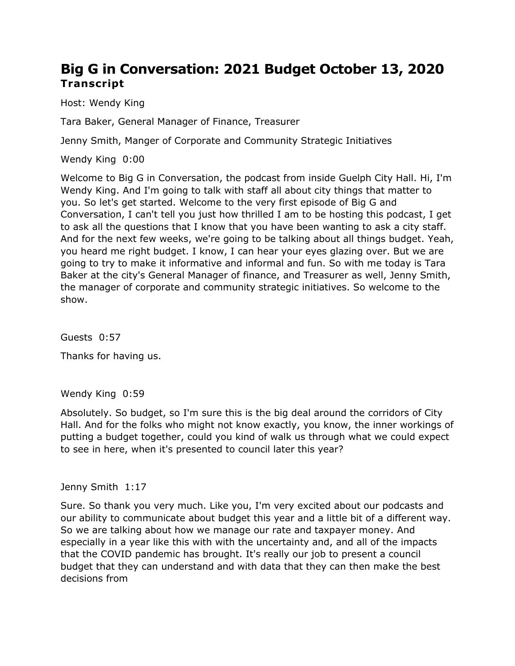# **Big G in Conversation: 2021 Budget October 13, 2020 Transcript**

Host: Wendy King

Tara Baker, General Manager of Finance, Treasurer

Jenny Smith, Manger of Corporate and Community Strategic Initiatives

Wendy King 0:00

 Welcome to Big G in Conversation, the podcast from inside Guelph City Hall. Hi, I'm Wendy King. And I'm going to talk with staff all about city things that matter to you. So let's get started. Welcome to the very first episode of Big G and Conversation, I can't tell you just how thrilled I am to be hosting this podcast, I get to ask all the questions that I know that you have been wanting to ask a city staff. And for the next few weeks, we're going to be talking about all things budget. Yeah, you heard me right budget. I know, I can hear your eyes glazing over. But we are going to try to make it informative and informal and fun. So with me today is Tara Baker at the city's General Manager of finance, and Treasurer as well, Jenny Smith, the manager of corporate and community strategic initiatives. So welcome to the show.

Guests 0:57

Thanks for having us.

Wendy King 0:59

 Absolutely. So budget, so I'm sure this is the big deal around the corridors of City Hall. And for the folks who might not know exactly, you know, the inner workings of putting a budget together, could you kind of walk us through what we could expect to see in here, when it's presented to council later this year?

Jenny Smith 1:17

 Sure. So thank you very much. Like you, I'm very excited about our podcasts and our ability to communicate about budget this year and a little bit of a different way. So we are talking about how we manage our rate and taxpayer money. And especially in a year like this with with the uncertainty and, and all of the impacts that the COVID pandemic has brought. It's really our job to present a council budget that they can understand and with data that they can then make the best decisions from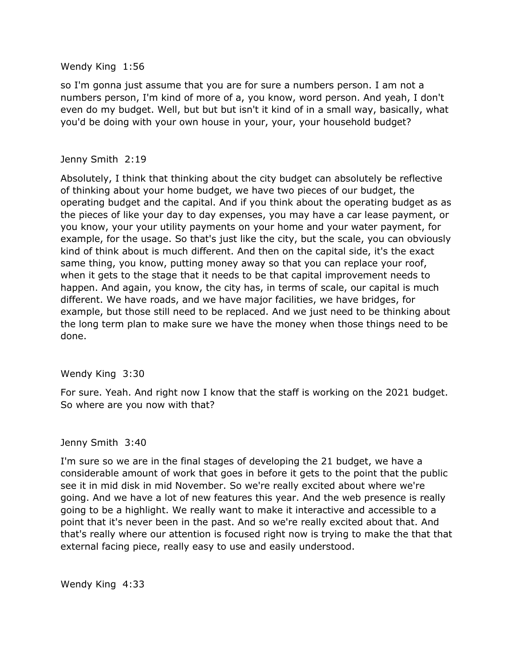#### Wendy King 1:56

 so I'm gonna just assume that you are for sure a numbers person. I am not a numbers person, I'm kind of more of a, you know, word person. And yeah, I don't even do my budget. Well, but but but isn't it kind of in a small way, basically, what you'd be doing with your own house in your, your, your household budget?

## Jenny Smith 2:19

 Absolutely, I think that thinking about the city budget can absolutely be reflective of thinking about your home budget, we have two pieces of our budget, the operating budget and the capital. And if you think about the operating budget as as the pieces of like your day to day expenses, you may have a car lease payment, or you know, your your utility payments on your home and your water payment, for example, for the usage. So that's just like the city, but the scale, you can obviously kind of think about is much different. And then on the capital side, it's the exact same thing, you know, putting money away so that you can replace your roof, happen. And again, you know, the city has, in terms of scale, our capital is much different. We have roads, and we have major facilities, we have bridges, for example, but those still need to be replaced. And we just need to be thinking about the long term plan to make sure we have the money when those things need to be when it gets to the stage that it needs to be that capital improvement needs to done.

#### Wendy King 3:30

 For sure. Yeah. And right now I know that the staff is working on the 2021 budget. So where are you now with that?

#### Jenny Smith 3:40

 I'm sure so we are in the final stages of developing the 21 budget, we have a see it in mid disk in mid November. So we're really excited about where we're going. And we have a lot of new features this year. And the web presence is really going to be a highlight. We really want to make it interactive and accessible to a point that it's never been in the past. And so we're really excited about that. And that's really where our attention is focused right now is trying to make the that that external facing piece, really easy to use and easily understood. considerable amount of work that goes in before it gets to the point that the public

Wendy King 4:33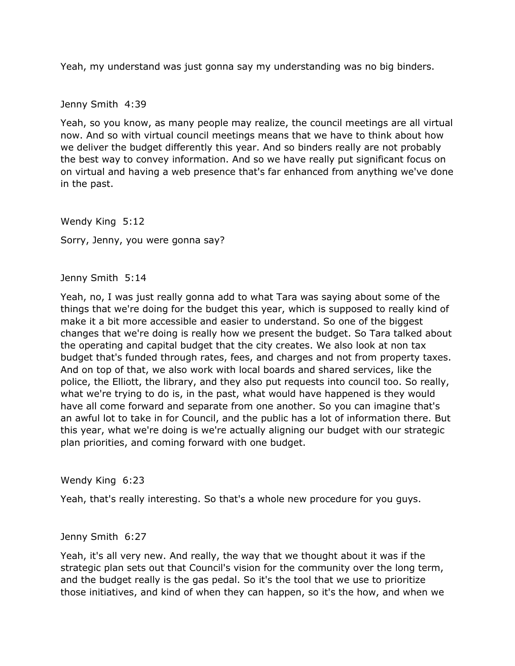Yeah, my understand was just gonna say my understanding was no big binders.

Jenny Smith 4:39

 Yeah, so you know, as many people may realize, the council meetings are all virtual now. And so with virtual council meetings means that we have to think about how we deliver the budget differently this year. And so binders really are not probably the best way to convey information. And so we have really put significant focus on on virtual and having a web presence that's far enhanced from anything we've done in the past.

 Wendy King 5:12 Sorry, Jenny, you were gonna say?

Jenny Smith 5:14

 Yeah, no, I was just really gonna add to what Tara was saying about some of the things that we're doing for the budget this year, which is supposed to really kind of make it a bit more accessible and easier to understand. So one of the biggest changes that we're doing is really how we present the budget. So Tara talked about the operating and capital budget that the city creates. We also look at non tax budget that's funded through rates, fees, and charges and not from property taxes. And on top of that, we also work with local boards and shared services, like the police, the Elliott, the library, and they also put requests into council too. So really, what we're trying to do is, in the past, what would have happened is they would have all come forward and separate from one another. So you can imagine that's an awful lot to take in for Council, and the public has a lot of information there. But this year, what we're doing is we're actually aligning our budget with our strategic plan priorities, and coming forward with one budget.

Wendy King 6:23

Yeah, that's really interesting. So that's a whole new procedure for you guys.

#### Jenny Smith 6:27

 Yeah, it's all very new. And really, the way that we thought about it was if the strategic plan sets out that Council's vision for the community over the long term, and the budget really is the gas pedal. So it's the tool that we use to prioritize those initiatives, and kind of when they can happen, so it's the how, and when we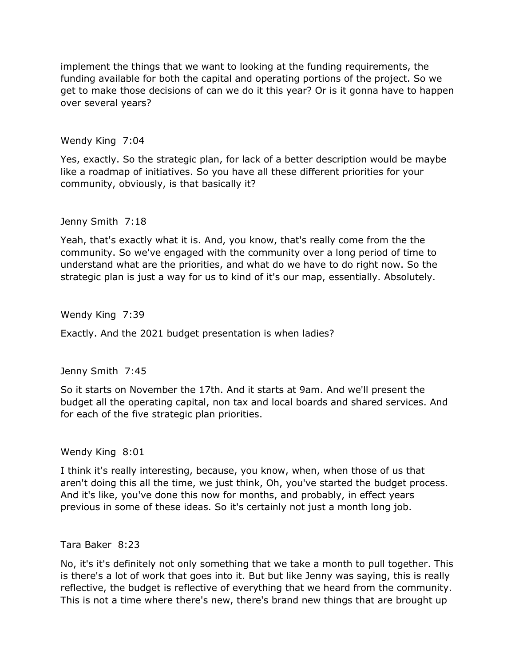implement the things that we want to looking at the funding requirements, the funding available for both the capital and operating portions of the project. So we get to make those decisions of can we do it this year? Or is it gonna have to happen over several years?

Wendy King 7:04

 Yes, exactly. So the strategic plan, for lack of a better description would be maybe like a roadmap of initiatives. So you have all these different priorities for your community, obviously, is that basically it?

Jenny Smith 7:18

 Yeah, that's exactly what it is. And, you know, that's really come from the the community. So we've engaged with the community over a long period of time to understand what are the priorities, and what do we have to do right now. So the strategic plan is just a way for us to kind of it's our map, essentially. Absolutely.

Wendy King 7:39

Exactly. And the 2021 budget presentation is when ladies?

Jenny Smith 7:45

 So it starts on November the 17th. And it starts at 9am. And we'll present the budget all the operating capital, non tax and local boards and shared services. And for each of the five strategic plan priorities.

Wendy King 8:01

 I think it's really interesting, because, you know, when, when those of us that aren't doing this all the time, we just think, Oh, you've started the budget process. And it's like, you've done this now for months, and probably, in effect years previous in some of these ideas. So it's certainly not just a month long job.

Tara Baker 8:23

 No, it's it's definitely not only something that we take a month to pull together. This is there's a lot of work that goes into it. But but like Jenny was saying, this is really reflective, the budget is reflective of everything that we heard from the community. This is not a time where there's new, there's brand new things that are brought up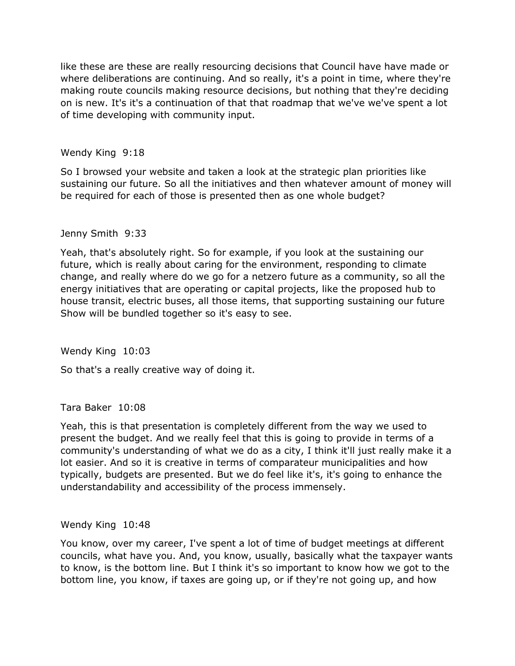where deliberations are continuing. And so really, it's a point in time, where they're making route councils making resource decisions, but nothing that they're deciding on is new. It's it's a continuation of that that roadmap that we've we've spent a lot like these are these are really resourcing decisions that Council have have made or of time developing with community input.

## Wendy King 9:18

 So I browsed your website and taken a look at the strategic plan priorities like sustaining our future. So all the initiatives and then whatever amount of money will be required for each of those is presented then as one whole budget?

## Jenny Smith 9:33

 Yeah, that's absolutely right. So for example, if you look at the sustaining our future, which is really about caring for the environment, responding to climate change, and really where do we go for a netzero future as a community, so all the house transit, electric buses, all those items, that supporting sustaining our future Show will be bundled together so it's easy to see. energy initiatives that are operating or capital projects, like the proposed hub to

Wendy King 10:03

So that's a really creative way of doing it.

Tara Baker 10:08

 Yeah, this is that presentation is completely different from the way we used to present the budget. And we really feel that this is going to provide in terms of a community's understanding of what we do as a city, I think it'll just really make it a lot easier. And so it is creative in terms of comparateur municipalities and how typically, budgets are presented. But we do feel like it's, it's going to enhance the understandability and accessibility of the process immensely.

## Wendy King 10:48

 You know, over my career, I've spent a lot of time of budget meetings at different councils, what have you. And, you know, usually, basically what the taxpayer wants to know, is the bottom line. But I think it's so important to know how we got to the bottom line, you know, if taxes are going up, or if they're not going up, and how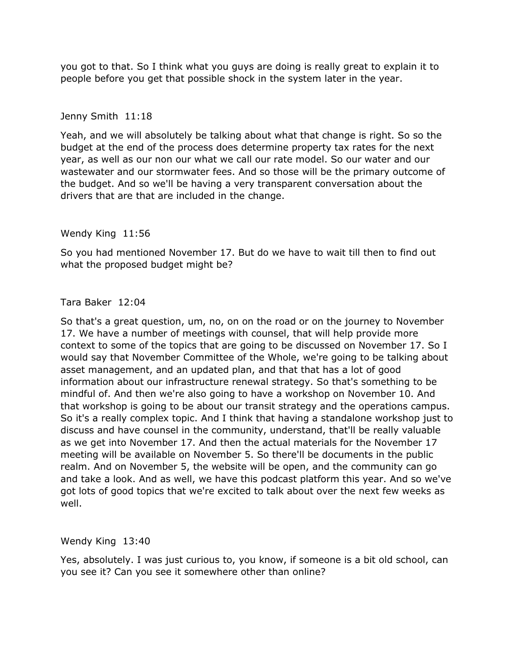you got to that. So I think what you guys are doing is really great to explain it to people before you get that possible shock in the system later in the year.

#### Jenny Smith 11:18

 Yeah, and we will absolutely be talking about what that change is right. So so the budget at the end of the process does determine property tax rates for the next year, as well as our non our what we call our rate model. So our water and our wastewater and our stormwater fees. And so those will be the primary outcome of the budget. And so we'll be having a very transparent conversation about the drivers that are that are included in the change.

#### Wendy King 11:56

 So you had mentioned November 17. But do we have to wait till then to find out what the proposed budget might be?

## Tara Baker 12:04

 So that's a great question, um, no, on on the road or on the journey to November 17. We have a number of meetings with counsel, that will help provide more would say that November Committee of the Whole, we're going to be talking about asset management, and an updated plan, and that that has a lot of good information about our infrastructure renewal strategy. So that's something to be mindful of. And then we're also going to have a workshop on November 10. And that workshop is going to be about our transit strategy and the operations campus. So it's a really complex topic. And I think that having a standalone workshop just to as we get into November 17. And then the actual materials for the November 17 realm. And on November 5, the website will be open, and the community can go and take a look. And as well, we have this podcast platform this year. And so we've got lots of good topics that we're excited to talk about over the next few weeks as context to some of the topics that are going to be discussed on November 17. So I discuss and have counsel in the community, understand, that'll be really valuable meeting will be available on November 5. So there'll be documents in the public well.

#### Wendy King 13:40

 Yes, absolutely. I was just curious to, you know, if someone is a bit old school, can you see it? Can you see it somewhere other than online?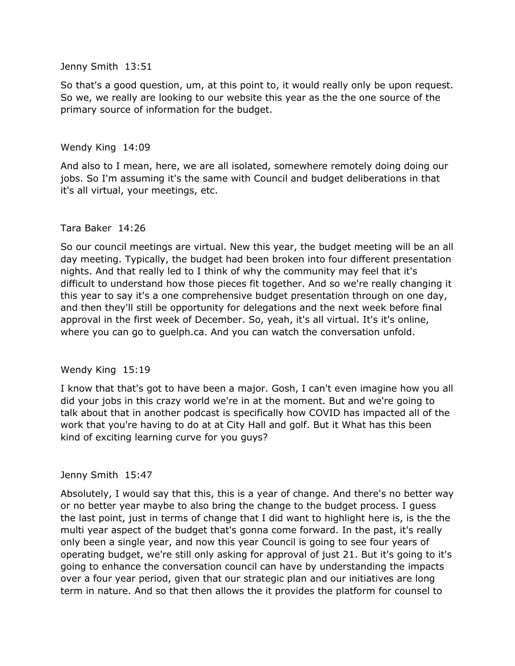Jenny Smith 13:51

 So that's a good question, um, at this point to, it would really only be upon request. So we, we really are looking to our website this year as the the one source of the primary source of information for the budget.

#### Wendy King 14:09

 And also to I mean, here, we are all isolated, somewhere remotely doing doing our jobs. So I'm assuming it's the same with Council and budget deliberations in that it's all virtual, your meetings, etc.

#### Tara Baker 14:26

 day meeting. Typically, the budget had been broken into four different presentation nights. And that really led to I think of why the community may feel that it's difficult to understand how those pieces fit together. And so we're really changing it this year to say it's a one comprehensive budget presentation through on one day, approval in the first week of December. So, yeah, it's all virtual. It's it's online, where you can go to [guelph.ca.](https://guelph.ca) And you can watch the conversation unfold. So our council meetings are virtual. New this year, the budget meeting will be an all and then they'll still be opportunity for delegations and the next week before final

#### Wendy King 15:19

 I know that that's got to have been a major. Gosh, I can't even imagine how you all did your jobs in this crazy world we're in at the moment. But and we're going to talk about that in another podcast is specifically how COVID has impacted all of the work that you're having to do at at City Hall and golf. But it What has this been kind of exciting learning curve for you guys?

#### Jenny Smith 15:47

 Absolutely, I would say that this, this is a year of change. And there's no better way the last point, just in terms of change that I did want to highlight here is, is the the multi year aspect of the budget that's gonna come forward. In the past, it's really only been a single year, and now this year Council is going to see four years of operating budget, we're still only asking for approval of just 21. But it's going to it's over a four year period, given that our strategic plan and our initiatives are long term in nature. And so that then allows the it provides the platform for counsel to or no better year maybe to also bring the change to the budget process. I guess going to enhance the conversation council can have by understanding the impacts